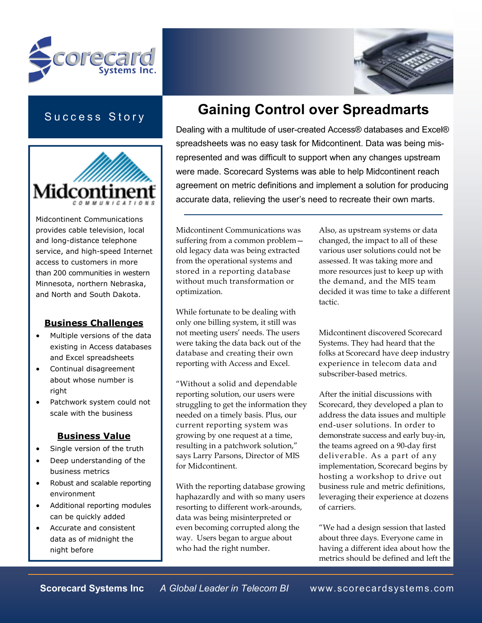



## Success Story



Midcontinent Communications provides cable television, local and long-distance telephone service, and high-speed Internet access to customers in more than 200 communities in western Minnesota, northern Nebraska, and North and South Dakota.

### Business Challenges

- Multiple versions of the data existing in Access databases and Excel spreadsheets
- Continual disagreement about whose number is right
- Patchwork system could not scale with the business

### Business Value

- Single version of the truth
- Deep understanding of the business metrics
- Robust and scalable reporting environment
- Additional reporting modules can be quickly added
- Accurate and consistent data as of midnight the night before

# Gaining Control over Spreadmarts

Dealing with a multitude of user-created Access® databases and Excel® spreadsheets was no easy task for Midcontinent. Data was being misrepresented and was difficult to support when any changes upstream were made. Scorecard Systems was able to help Midcontinent reach agreement on metric definitions and implement a solution for producing accurate data, relieving the user's need to recreate their own marts.

Midcontinent Communications was suffering from a common problem old legacy data was being extracted from the operational systems and stored in a reporting database without much transformation or optimization.

While fortunate to be dealing with only one billing system, it still was not meeting users' needs. The users were taking the data back out of the database and creating their own reporting with Access and Excel.

"Without a solid and dependable reporting solution, our users were struggling to get the information they needed on a timely basis. Plus, our current reporting system was growing by one request at a time, resulting in a patchwork solution," says Larry Parsons, Director of MIS for Midcontinent.

With the reporting database growing haphazardly and with so many users resorting to different work-arounds, data was being misinterpreted or even becoming corrupted along the way. Users began to argue about who had the right number.

Also, as upstream systems or data changed, the impact to all of these various user solutions could not be assessed. It was taking more and more resources just to keep up with the demand, and the MIS team decided it was time to take a different tactic.

Midcontinent discovered Scorecard Systems. They had heard that the folks at Scorecard have deep industry experience in telecom data and subscriber-based metrics.

After the initial discussions with Scorecard, they developed a plan to address the data issues and multiple end-user solutions. In order to demonstrate success and early buy-in, the teams agreed on a 90-day first deliverable. As a part of any implementation, Scorecard begins by hosting a workshop to drive out business rule and metric definitions, leveraging their experience at dozens of carriers.

"We had a design session that lasted about three days. Everyone came in having a different idea about how the metrics should be defined and left the